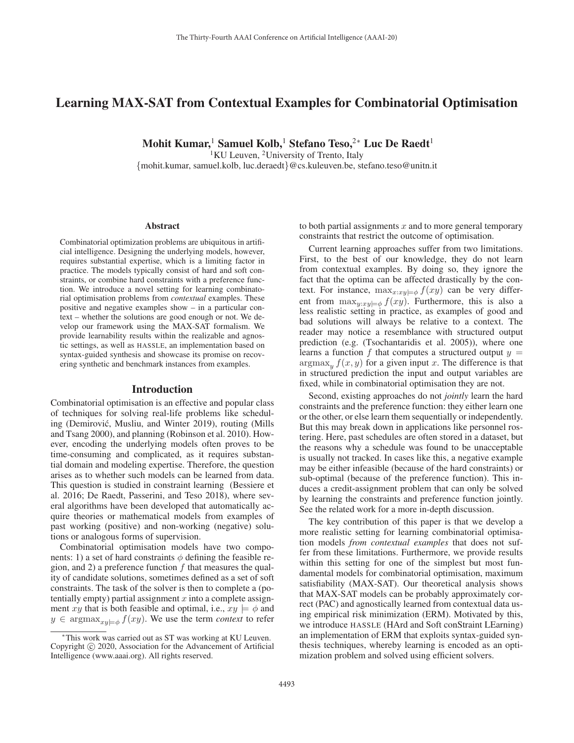# Learning MAX-SAT from Contextual Examples for Combinatorial Optimisation

Mohit Kumar,<sup>1</sup> Samuel Kolb,<sup>1</sup> Stefano Teso,<sup>2∗</sup> Luc De Raedt<sup>1</sup>

<sup>1</sup>KU Leuven, <sup>2</sup>University of Trento, Italy

{mohit.kumar, samuel.kolb, luc.deraedt}@cs.kuleuven.be, stefano.teso@unitn.it

#### Abstract

Combinatorial optimization problems are ubiquitous in artificial intelligence. Designing the underlying models, however, requires substantial expertise, which is a limiting factor in practice. The models typically consist of hard and soft constraints, or combine hard constraints with a preference function. We introduce a novel setting for learning combinatorial optimisation problems from *contextual* examples. These positive and negative examples show – in a particular context – whether the solutions are good enough or not. We develop our framework using the MAX-SAT formalism. We provide learnability results within the realizable and agnostic settings, as well as HASSLE, an implementation based on syntax-guided synthesis and showcase its promise on recovering synthetic and benchmark instances from examples.

### Introduction

Combinatorial optimisation is an effective and popular class of techniques for solving real-life problems like scheduling (Demirovic, Musliu, and Winter 2019), routing (Mills ´ and Tsang 2000), and planning (Robinson et al. 2010). However, encoding the underlying models often proves to be time-consuming and complicated, as it requires substantial domain and modeling expertise. Therefore, the question arises as to whether such models can be learned from data. This question is studied in constraint learning (Bessiere et al. 2016; De Raedt, Passerini, and Teso 2018), where several algorithms have been developed that automatically acquire theories or mathematical models from examples of past working (positive) and non-working (negative) solutions or analogous forms of supervision.

Combinatorial optimisation models have two components: 1) a set of hard constraints  $\phi$  defining the feasible region, and 2) a preference function  $f$  that measures the quality of candidate solutions, sometimes defined as a set of soft constraints. The task of the solver is then to complete a (potentially empty) partial assignment  $x$  into a complete assignment xy that is both feasible and optimal, i.e.,  $xy \models \phi$  and  $y \in \text{argmax}_{x: y \in \phi} f(xy)$ . We use the term *context* to refer to both partial assignments  $x$  and to more general temporary constraints that restrict the outcome of optimisation.

Current learning approaches suffer from two limitations. First, to the best of our knowledge, they do not learn from contextual examples. By doing so, they ignore the fact that the optima can be affected drastically by the context. For instance,  $\max_{x:xy \models \phi} f(xy)$  can be very different from  $\max_{y:xy \models \phi} f(xy)$ . Furthermore, this is also a less realistic setting in practice, as examples of good and bad solutions will always be relative to a context. The reader may notice a resemblance with structured output prediction (e.g. (Tsochantaridis et al. 2005)), where one learns a function f that computes a structured output  $y =$  $argmax_{y} f(x, y)$  for a given input x. The difference is that in structured prediction the input and output variables are fixed, while in combinatorial optimisation they are not.

Second, existing approaches do not *jointly* learn the hard constraints and the preference function: they either learn one or the other, or else learn them sequentially or independently. But this may break down in applications like personnel rostering. Here, past schedules are often stored in a dataset, but the reasons why a schedule was found to be unacceptable is usually not tracked. In cases like this, a negative example may be either infeasible (because of the hard constraints) or sub-optimal (because of the preference function). This induces a credit-assignment problem that can only be solved by learning the constraints and preference function jointly. See the related work for a more in-depth discussion.

The key contribution of this paper is that we develop a more realistic setting for learning combinatorial optimisation models *from contextual examples* that does not suffer from these limitations. Furthermore, we provide results within this setting for one of the simplest but most fundamental models for combinatorial optimisation, maximum satisfiability (MAX-SAT). Our theoretical analysis shows that MAX-SAT models can be probably approximately correct (PAC) and agnostically learned from contextual data using empirical risk minimization (ERM). Motivated by this, we introduce HASSLE (HArd and Soft conStraint LEarning) an implementation of ERM that exploits syntax-guided synthesis techniques, whereby learning is encoded as an optimization problem and solved using efficient solvers.

<sup>∗</sup>This work was carried out as ST was working at KU Leuven. Copyright  $\odot$  2020, Association for the Advancement of Artificial Intelligence (www.aaai.org). All rights reserved.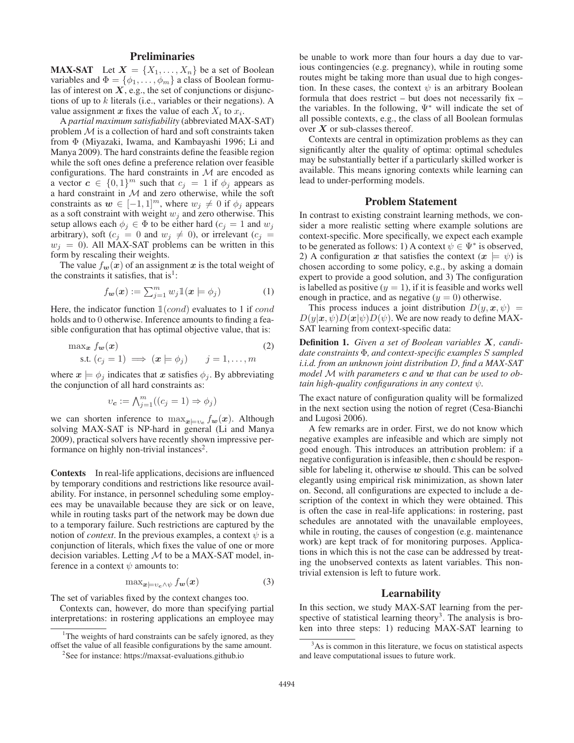# **Preliminaries**

**MAX-SAT** Let  $X = \{X_1, \ldots, X_n\}$  be a set of Boolean variables and  $\Phi = {\phi_1, \ldots, \phi_m}$  a class of Boolean formulas of interest on  $X$ , e.g., the set of conjunctions or disjunctions of up to  $k$  literals (i.e., variables or their negations). A value assignment x fixes the value of each  $X_i$  to  $x_i$ .

A *partial maximum satisfiability* (abbreviated MAX-SAT) problem  $M$  is a collection of hard and soft constraints taken from Φ (Miyazaki, Iwama, and Kambayashi 1996; Li and Manya 2009). The hard constraints define the feasible region while the soft ones define a preference relation over feasible configurations. The hard constraints in  $M$  are encoded as a vector  $c \in \{0,1\}^m$  such that  $c_j = 1$  if  $\phi_j$  appears as a hard constraint in  $M$  and zero otherwise, while the soft constraints as  $w \in [-1, 1]^m$ , where  $w_j \neq 0$  if  $\phi_j$  appears as a soft constraint with weight  $w_j$  and zero otherwise. This setup allows each  $\phi_i \in \Phi$  to be either hard  $(c_i = 1$  and  $w_i$ arbitrary), soft ( $c_j = 0$  and  $w_j \neq 0$ ), or irrelevant ( $c_j =$  $w_i = 0$ ). All MAX-SAT problems can be written in this form by rescaling their weights.

The value  $f_w(x)$  of an assignment x is the total weight of the constraints it satisfies, that is<sup>1</sup>:

$$
f_{\mathbf{w}}(\mathbf{x}) := \sum_{j=1}^{m} w_j \mathbb{1}(\mathbf{x} \models \phi_j)
$$
 (1)

Here, the indicator function  $\mathbb{1}(cond)$  evaluates to 1 if cond holds and to 0 otherwise. Inference amounts to finding a feasible configuration that has optimal objective value, that is:

$$
\max_{\mathbf{x}} f_{\mathbf{w}}(\mathbf{x})
$$
  
s.t.  $(c_j = 1) \implies (\mathbf{x} \models \phi_j)$   $j = 1, ..., m$  (2)

where  $x \models \phi_i$  indicates that *x* satisfies  $\phi_i$ . By abbreviating the conjunction of all hard constraints as:

$$
v_c := \bigwedge_{j=1}^m ((c_j = 1) \Rightarrow \phi_j)
$$

we can shorten inference to  $\max_{x \in V_c} f_w(x)$ . Although solving MAX-SAT is NP-hard in general (Li and Manya 2009), practical solvers have recently shown impressive performance on highly non-trivial instances<sup>2</sup>.

Contexts In real-life applications, decisions are influenced by temporary conditions and restrictions like resource availability. For instance, in personnel scheduling some employees may be unavailable because they are sick or on leave, while in routing tasks part of the network may be down due to a temporary failure. Such restrictions are captured by the notion of *context*. In the previous examples, a context  $\psi$  is a conjunction of literals, which fixes the value of one or more decision variables. Letting  $M$  to be a MAX-SAT model, inference in a context  $\psi$  amounts to:

$$
\max_{\mathbf{x} \models v_c \land \psi} f_{\mathbf{w}}(\mathbf{x}) \tag{3}
$$

The set of variables fixed by the context changes too.

Contexts can, however, do more than specifying partial interpretations: in rostering applications an employee may

<sup>1</sup>The weights of hard constraints can be safely ignored, as they offset the value of all feasible configurations by the same amount.

be unable to work more than four hours a day due to various contingencies (e.g. pregnancy), while in routing some routes might be taking more than usual due to high congestion. In these cases, the context  $\psi$  is an arbitrary Boolean formula that does restrict – but does not necessarily fix – the variables. In the following,  $\Psi^*$  will indicate the set of all possible contexts, e.g., the class of all Boolean formulas over *X* or sub-classes thereof.

Contexts are central in optimization problems as they can significantly alter the quality of optima: optimal schedules may be substantially better if a particularly skilled worker is available. This means ignoring contexts while learning can lead to under-performing models.

#### Problem Statement

In contrast to existing constraint learning methods, we consider a more realistic setting where example solutions are context-specific. More specifically, we expect each example to be generated as follows: 1) A context  $\psi \in \Psi^*$  is observed, 2) A configuration *x* that satisfies the context  $(x \models \psi)$  is chosen according to some policy, e.g., by asking a domain expert to provide a good solution, and 3) The configuration is labelled as positive  $(y = 1)$ , if it is feasible and works well enough in practice, and as negative  $(y = 0)$  otherwise.

This process induces a joint distribution  $D(y, x, \psi)$  =  $D(y|\boldsymbol{x},\psi)D(\boldsymbol{x}|\psi)D(\psi)$ . We are now ready to define MAX-SAT learning from context-specific data:

Definition 1. *Given a set of Boolean variables X, candidate constraints* Φ*, and context-specific examples* S *sampled i.i.d. from an unknown joint distribution* D*, find a MAX-SAT model* M *with parameters c and w that can be used to obtain high-quality configurations in any context* ψ*.*

The exact nature of configuration quality will be formalized in the next section using the notion of regret (Cesa-Bianchi and Lugosi 2006).

A few remarks are in order. First, we do not know which negative examples are infeasible and which are simply not good enough. This introduces an attribution problem: if a negative configuration is infeasible, then *c* should be responsible for labeling it, otherwise *w* should. This can be solved elegantly using empirical risk minimization, as shown later on. Second, all configurations are expected to include a description of the context in which they were obtained. This is often the case in real-life applications: in rostering, past schedules are annotated with the unavailable employees, while in routing, the causes of congestion (e.g. maintenance work) are kept track of for monitoring purposes. Applications in which this is not the case can be addressed by treating the unobserved contexts as latent variables. This nontrivial extension is left to future work.

#### Learnability

In this section, we study MAX-SAT learning from the perspective of statistical learning theory<sup>3</sup>. The analysis is broken into three steps: 1) reducing MAX-SAT learning to

<sup>&</sup>lt;sup>2</sup>See for instance: https://maxsat-evaluations.github.io

<sup>&</sup>lt;sup>3</sup>As is common in this literature, we focus on statistical aspects and leave computational issues to future work.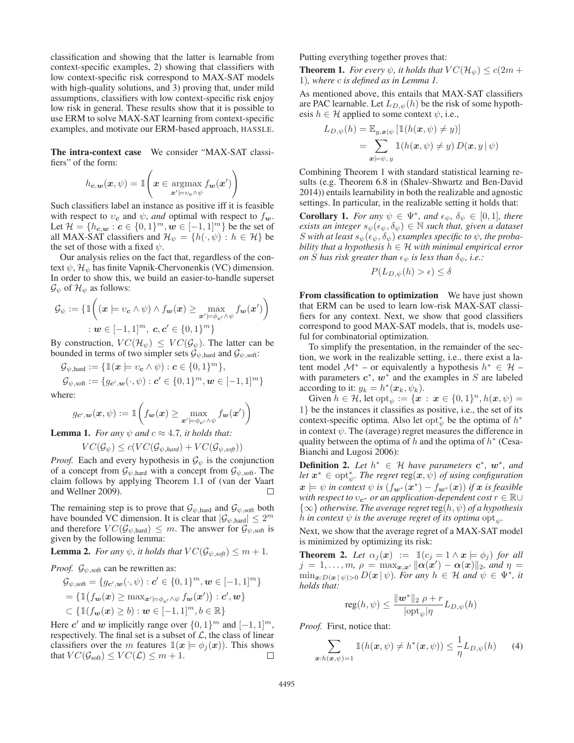classification and showing that the latter is learnable from context-specific examples, 2) showing that classifiers with low context-specific risk correspond to MAX-SAT models with high-quality solutions, and 3) proving that, under mild assumptions, classifiers with low context-specific risk enjoy low risk in general. These results show that it is possible to use ERM to solve MAX-SAT learning from context-specific examples, and motivate our ERM-based approach, HASSLE.

The intra-context case We consider "MAX-SAT classifiers" of the form:

$$
h_{\mathbf{c},\mathbf{w}}(\mathbf{x},\psi) = \mathbb{1}\left(\mathbf{x} \in \operatorname*{argmax}_{\mathbf{x}' \models v_c \land \psi} f_{\mathbf{w}}(\mathbf{x}')\right)
$$

Such classifiers label an instance as positive iff it is feasible with respect to  $v_c$  and  $\psi$ , *and* optimal with respect to  $f_w$ . Let  $\mathcal{H} = \{h_{c,w} : c \in \{0,1\}^m, w \in [-1,1]^m\}$  be the set of all MAX-SAT classifiers and  $\mathcal{H}_{\psi} = \{h(\cdot,\psi) : h \in \mathcal{H}\}\$  be the set of those with a fixed  $\psi$ .

Our analysis relies on the fact that, regardless of the context  $\psi$ ,  $\mathcal{H}_{\psi}$  has finite Vapnik-Chervonenkis (VC) dimension. In order to show this, we build an easier-to-handle superset  $\mathcal{G}_{\psi}$  of  $\mathcal{H}_{\psi}$  as follows:

$$
\mathcal{G}_{\psi} := \{ \mathbb{1} \bigg( (\boldsymbol{x} \models v_{\boldsymbol{c}} \land \psi) \land f_{\boldsymbol{w}}(\boldsymbol{x}) \ge \max_{\boldsymbol{x}' \models \phi_{\boldsymbol{c}'} \land \psi} f_{\boldsymbol{w}}(\boldsymbol{x}') \bigg) \n: \boldsymbol{w} \in [-1, 1]^m, \ \boldsymbol{c}, \boldsymbol{c}' \in \{0, 1\}^m \}
$$

By construction,  $VC(\mathcal{H}_{\psi}) \le VC(\mathcal{G}_{\psi})$ . The latter can be bounded in terms of two simpler sets  $\mathcal{G}_{\psi,\text{hard}}$  and  $\mathcal{G}_{\psi,\text{soft}}$ :

$$
\mathcal{G}_{\psi, \text{hard}} := \{ \mathbb{1}(\boldsymbol{x} \models v_{\boldsymbol{c}} \land \psi) : \boldsymbol{c} \in \{0, 1\}^m \},
$$
  

$$
\mathcal{G}_{\psi, \text{soft}} := \{ g_{\boldsymbol{c}', \boldsymbol{w}}(\cdot, \psi) : \boldsymbol{c}' \in \{0, 1\}^m, \boldsymbol{w} \in [-1, 1]^m \}
$$
  
here:

where:

$$
g_{\mathbf{c}',\mathbf{w}}(\mathbf{x},\psi) := \mathbb{1}\bigg(f_{\mathbf{w}}(\mathbf{x}) \ge \max_{\mathbf{x}'\models \phi_{\mathbf{c}'} \land \psi} f_{\mathbf{w}}(\mathbf{x}')\bigg)
$$

**Lemma 1.** *For any*  $\psi$  *and*  $c \approx 4.7$ *, it holds that:* 

$$
VC(\mathcal{G}_{\psi}) \le c(VC(\mathcal{G}_{\psi, hard}) + VC(\mathcal{G}_{\psi, soft}))
$$

*Proof.* Each and every hypothesis in  $\mathcal{G}_{\psi}$  is the conjunction of a concept from  $\mathcal{G}_{\psi,\text{hard}}$  with a concept from  $\mathcal{G}_{\psi,\text{soft}}$ . The claim follows by applying Theorem 1.1 of (van der Vaart and Wellner 2009). П

The remaining step is to prove that  $\mathcal{G}_{\psi,\text{hard}}$  and  $\mathcal{G}_{\psi,\text{soft}}$  both have bounded VC dimension. It is clear that  $|\mathcal{G}_{\psi,\text{hard}}| \leq 2^m$ and therefore  $VC(\mathcal{G}_{\psi, \text{hard}}) \leq m$ . The answer for  $\mathcal{G}_{\psi, \text{soft}}$  is given by the following lemma:

**Lemma 2.** *For any*  $\psi$ *, it holds that*  $VC(\mathcal{G}_{\psi, \text{soft}}) \leq m + 1$ *.* 

*Proof.*  $\mathcal{G}_{\psi, \text{soft}}$  can be rewritten as:

$$
\mathcal{G}_{\psi, \text{soft}} = \{g_{\mathbf{c}', \mathbf{w}}(\cdot, \psi) : \mathbf{c}' \in \{0, 1\}^m, \mathbf{w} \in [-1, 1]^m\}
$$

$$
= \{\mathbb{1}(f_{\mathbf{w}}(\mathbf{x}) \ge \max_{\mathbf{x}' \models \phi_{\mathbf{c}'} \land \psi} f_{\mathbf{w}}(\mathbf{x}')) : \mathbf{c}', \mathbf{w}\}
$$

$$
\subset \{\mathbb{1}(f_{\mathbf{w}}(\mathbf{x}) \ge b) : \mathbf{w} \in [-1, 1]^m, b \in \mathbb{R}\}
$$

Here *c'* and *w* implicitly range over  $\{0, 1\}^m$  and  $[-1, 1]^m$ , respectively. The final set is a subset of  $L$ , the class of linear classifiers over the m features  $\mathbb{1}(x \models \phi_i(x))$ . This shows that  $VC(\mathcal{G}_{soft}) \le VC(\mathcal{L}) \le m + 1$ .  $\Box$  Putting everything together proves that:

**Theorem 1.** *For every*  $\psi$ *, it holds that*  $VC(\mathcal{H}_{\psi}) \leq c(2m + 1)$ 1)*, where* c *is defined as in Lemma 1.*

As mentioned above, this entails that MAX-SAT classifiers are PAC learnable. Let  $L_{D,\psi}(h)$  be the risk of some hypothesis  $h \in \mathcal{H}$  applied to some context  $\psi$ , i.e.,

$$
L_{D,\psi}(h) = \mathbb{E}_{y,\mathbf{x}|\psi} [\mathbb{1}(h(\mathbf{x},\psi) \neq y)]
$$
  
= 
$$
\sum_{\mathbf{x} \models \psi, y} \mathbb{1}(h(\mathbf{x},\psi) \neq y) D(\mathbf{x},y|\psi)
$$

Combining Theorem 1 with standard statistical learning results (e.g. Theorem 6.8 in (Shalev-Shwartz and Ben-David 2014)) entails learnability in both the realizable and agnostic settings. In particular, in the realizable setting it holds that:

**Corollary 1.** *For any*  $\psi \in \Psi^*$ *, and*  $\epsilon_{\psi}$ *,*  $\delta_{\psi} \in [0,1]$ *, there exists an integer*  $s_{\psi}(\epsilon_{\psi}, \delta_{\psi}) \in \mathbb{N}$  *such that, given a dataset* S with at least  $s_{\psi}(\epsilon_{\psi}, \delta_{\psi})$  *examples specific to*  $\psi$ *, the probability that a hypothesis*  $h \in \mathcal{H}$  *with minimal empirical error on S has risk greater than*  $\epsilon_{\psi}$  *is less than*  $\delta_{\psi}$ *, i.e.:* 

$$
P(L_{D,\psi}(h) > \epsilon) \le \delta
$$

From classification to optimization We have just shown that ERM can be used to learn low-risk MAX-SAT classifiers for any context. Next, we show that good classifiers correspond to good MAX-SAT models, that is, models useful for combinatorial optimization.

To simplify the presentation, in the remainder of the section, we work in the realizable setting, i.e., there exist a latent model  $\mathcal{M}^*$  – or equivalently a hypothesis  $h^* \in \mathcal{H}$  – with parameters  $c^*$ ,  $w^*$  and the examples in S are labeled according to it:  $y_k = h^*(x_k, \psi_k)$ .

Given  $h \in \mathcal{H}$ , let opt $\psi := \{x : x \in \{0,1\}^n, h(x, \psi) =$ 1} be the instances it classifies as positive, i.e., the set of its context-specific optima. Also let opt<sup>\*</sup><sub> $\psi$ </sub> be the optima of  $h^*$ in context  $\psi$ . The (average) regret measures the difference in quality between the optima of h and the optima of  $h^*$  (Cesa-Bianchi and Lugosi 2006):

**Definition 2.** Let  $h^* \in H$  have parameters  $c^*$ ,  $w^*$ , and Let  $x^* \in \text{opt}^*_{\psi}$ . The regret  $\text{reg}(x, \bar{\psi})$  of using configuration  $\mathbf{x} \models \psi$  *in context*  $\psi$  *is*  $(f_{\mathbf{w}^*}(\mathbf{x}^*) - f_{\mathbf{w}^*}(\mathbf{x}))$  *if*  $\mathbf{x}$  *is feasible with respect to*  $v_{c^*}$  *or an application-dependent cost*  $r \in \mathbb{R} \cup$ {∞} *otherwise. The average regret* reg(h, ψ) *of a hypothesis h* in context  $\psi$  is the average regret of its optima  $\mathrm{opt}_{\psi}$ .

Next, we show that the average regret of a MAX-SAT model is minimized by optimizing its risk:

**Theorem 2.** Let  $\alpha_j(x) := 1$   $(c_j = 1 \land x \models \phi_j)$  for all  $j = 1, \ldots, m$ ,  $\rho = \max_{\mathbf{x}, \mathbf{x}'} ||\alpha(\mathbf{x}') - \alpha(\mathbf{x})||_2$ , and  $\eta =$  $\min_{\mathbf{x}:D(\mathbf{x}|\psi)>0} D(\mathbf{x}|\psi)$ *. For any*  $h \in \mathcal{H}$  *and*  $\psi \in \Psi^*$ *, it holds that:*

$$
\mathrm{reg}(h,\psi)\leq \frac{\|\boldsymbol{w}^*\|_2\;\rho+r}{|\mathrm{opt}_\psi|\eta}L_{D,\psi}(h)
$$

*Proof.* First, notice that:

 $\boldsymbol{x}$ :

$$
\sum_{h(\boldsymbol{x},\psi)=1} \mathbb{1}(h(\boldsymbol{x},\psi) \neq h^*(\boldsymbol{x},\psi)) \leq \frac{1}{\eta} L_{D,\psi}(h) \qquad (4)
$$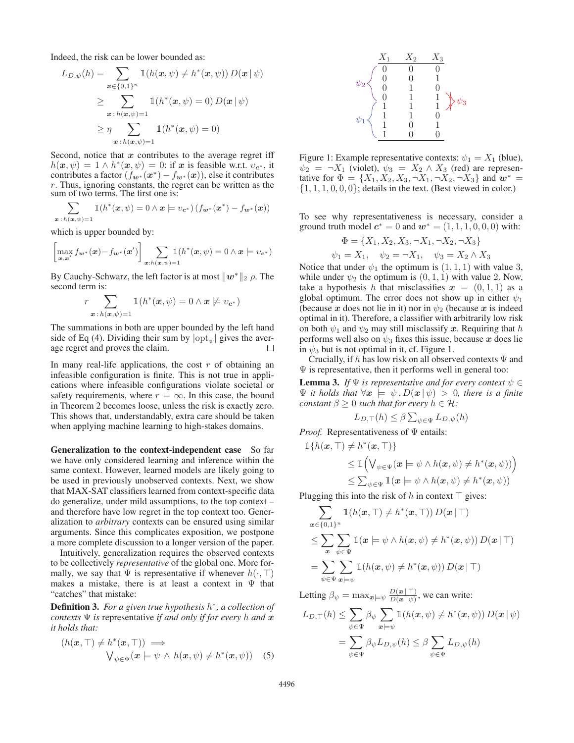Indeed, the risk can be lower bounded as:

$$
L_{D,\psi}(h) = \sum_{\mathbf{x} \in \{0,1\}^n} \mathbb{1}(h(\mathbf{x}, \psi) \neq h^*(\mathbf{x}, \psi)) D(\mathbf{x} | \psi)
$$
  
\n
$$
\geq \sum_{\mathbf{x} : h(\mathbf{x}, \psi) = 1} \mathbb{1}(h^*(\mathbf{x}, \psi) = 0) D(\mathbf{x} | \psi)
$$
  
\n
$$
\geq \eta \sum_{\mathbf{x} : h(\mathbf{x}, \psi) = 1} \mathbb{1}(h^*(\mathbf{x}, \psi) = 0)
$$

Second, notice that *x* contributes to the average regret iff  $h(x, \psi) = 1 \wedge h^*(x, \psi) = 0$ : if *x* is feasible w.r.t.  $v_{c^*}$ , it contributes a factor  $(f_{w*}(x^*) - f_{w*}(x))$ , else it contributes r. Thus, ignoring constants, the regret can be written as the sum of two terms. The first one is:

$$
\sum_{\boldsymbol{x}:h(\boldsymbol{x},\psi)=1}\mathbb{1}(h^*(\boldsymbol{x},\psi)=0 \land \boldsymbol{x} \models v_{\boldsymbol{c}^*})\left(f_{\boldsymbol{w}^*}(\boldsymbol{x}^*)-f_{\boldsymbol{w}^*}(\boldsymbol{x})\right)
$$

which is upper bounded by:

$$
\left[\max_{\boldsymbol{x},\boldsymbol{x}'} f_{\boldsymbol{w}^*}(\boldsymbol{x}) - f_{\boldsymbol{w}^*}(\boldsymbol{x}')\right] \sum_{\boldsymbol{x}: h(\boldsymbol{x},\psi) = 1} \mathbb{1}(h^*(\boldsymbol{x},\psi) = 0 \land \boldsymbol{x} \models v_{\boldsymbol{c}^*})
$$

By Cauchy-Schwarz, the left factor is at most  $||w^*||_2$   $\rho$ . The second term is:

$$
r\sum_{\boldsymbol{x}:h(\boldsymbol{x},\psi)=1}\mathbb{1}(h^*(\boldsymbol{x},\psi)=0 \land \boldsymbol{x} \not\models v_{\boldsymbol{c}^*})
$$

The summations in both are upper bounded by the left hand side of Eq (4). Dividing their sum by  $|{\rm opt}_{\psi}|$  gives the average regret and proves the claim. П

In many real-life applications, the cost  $r$  of obtaining an infeasible configuration is finite. This is not true in applications where infeasible configurations violate societal or safety requirements, where  $r = \infty$ . In this case, the bound in Theorem 2 becomes loose, unless the risk is exactly zero. This shows that, understandably, extra care should be taken when applying machine learning to high-stakes domains.

Generalization to the context-independent case So far we have only considered learning and inference within the same context. However, learned models are likely going to be used in previously unobserved contexts. Next, we show that MAX-SAT classifiers learned from context-specific data do generalize, under mild assumptions, to the top context – and therefore have low regret in the top context too. Generalization to *arbitrary* contexts can be ensured using similar arguments. Since this complicates exposition, we postpone a more complete discussion to a longer version of the paper.

Intuitively, generalization requires the observed contexts to be collectively *representative* of the global one. More formally, we say that  $\Psi$  is representative if whenever  $h(\cdot, \top)$ makes a mistake, there is at least a context in  $\Psi$  that "catches" that mistake:

Definition 3. *For a given true hypothesis* h<sup>∗</sup>*, a collection of contexts*  $\Psi$  *is* representative *if and only if for every* h *and*  $x$ *it holds that:*

$$
(h(\mathbf{x}, \top) \neq h^*(\mathbf{x}, \top)) \implies \qquad \qquad \forall_{\psi \in \Psi} (\mathbf{x} \models \psi \ \land \ h(\mathbf{x}, \psi) \neq h^*(\mathbf{x}, \psi)) \quad (5)
$$



Figure 1: Example representative contexts:  $\psi_1 = X_1$  (blue),  $\psi_2 = \neg X_1$  (violet),  $\psi_3 = X_2 \wedge X_3$  (red) are representative for  $\Phi = \{X_1, X_2, X_3, \neg X_1, \neg X_2, \neg X_3\}$  and  $w^* =$  $\{1, 1, 1, 0, 0, 0\}$ ; details in the text. (Best viewed in color.)

To see why representativeness is necessary, consider a ground truth model  $c^* = 0$  and  $w^* = (1, 1, 1, 0, 0, 0)$  with:

$$
\Phi = \{X_1, X_2, X_3, \neg X_1, \neg X_2, \neg X_3\}
$$
  

$$
\psi_1 = X_1, \quad \psi_2 = \neg X_1, \quad \psi_3 = X_2 \land X_3
$$

Notice that under  $\psi_1$  the optimum is  $(1, 1, 1)$  with value 3, while under  $\psi_2$  the optimum is  $(0, 1, 1)$  with value 2. Now, take a hypothesis h that misclassifies  $x = (0, 1, 1)$  as a global optimum. The error does not show up in either  $\psi_1$ (because *x* does not lie in it) nor in  $\psi_2$  (because *x* is indeed optimal in it). Therefore, a classifier with arbitrarily low risk on both  $\psi_1$  and  $\psi_2$  may still misclassify x. Requiring that h performs well also on  $\psi_3$  fixes this issue, because x does lie in  $\psi_3$  but is not optimal in it, cf. Figure 1.

Crucially, if h has low risk on all observed contexts  $\Psi$  and  $\Psi$  is representative, then it performs well in general too:

**Lemma 3.** *If*  $\Psi$  *is representative and for every context*  $\psi \in \Psi$  $\Psi$  *it holds that*  $\forall x \models \psi \cdot D(x \mid \psi) > 0$ , there is a finite *constant*  $\beta \geq 0$  *such that for every*  $h \in \mathcal{H}$ *:* 

$$
L_{D,\top}(h) \le \beta \sum_{\psi \in \Psi} L_{D,\psi}(h)
$$

*Proof.* Representativeness of Ψ entails:

$$
\mathbb{1}\lbrace h(\mathbf{x}, \top) \neq h^*(\mathbf{x}, \top) \rbrace
$$
  
\n
$$
\leq \mathbb{1}\Big(\bigvee_{\psi \in \Psi} (\mathbf{x} \models \psi \land h(\mathbf{x}, \psi) \neq h^*(\mathbf{x}, \psi))\Big)
$$
  
\n
$$
\leq \sum_{\psi \in \Psi} \mathbb{1}(\mathbf{x} \models \psi \land h(\mathbf{x}, \psi) \neq h^*(\mathbf{x}, \psi))
$$

Plugging this into the risk of h in context  $\top$  gives:

$$
\sum_{\mathbf{x}\in\{0,1\}^n} \mathbb{1}(h(\mathbf{x},\top) \neq h^*(\mathbf{x},\top)) D(\mathbf{x}|\top)
$$
\n
$$
\leq \sum_{\mathbf{x}} \sum_{\psi\in\Psi} \mathbb{1}(\mathbf{x} \models \psi \land h(\mathbf{x},\psi) \neq h^*(\mathbf{x},\psi)) D(\mathbf{x}|\top)
$$
\n
$$
= \sum_{\psi\in\Psi} \sum_{\mathbf{x}\models\psi} \mathbb{1}(h(\mathbf{x},\psi) \neq h^*(\mathbf{x},\psi)) D(\mathbf{x}|\top)
$$

Letting  $\beta_{\psi} = \max_{\mathbf{x} \in \psi} \frac{D(\mathbf{x} \mid \top)}{D(\mathbf{x} \mid \psi)},$  we can write:

$$
L_{D,\top}(h) \leq \sum_{\psi \in \Psi} \beta_{\psi} \sum_{\mathbf{x} \models \psi} \mathbb{1}(h(\mathbf{x}, \psi) \neq h^*(\mathbf{x}, \psi)) D(\mathbf{x} | \psi)
$$
  
= 
$$
\sum_{\psi \in \Psi} \beta_{\psi} L_{D,\psi}(h) \leq \beta \sum_{\psi \in \Psi} L_{D,\psi}(h)
$$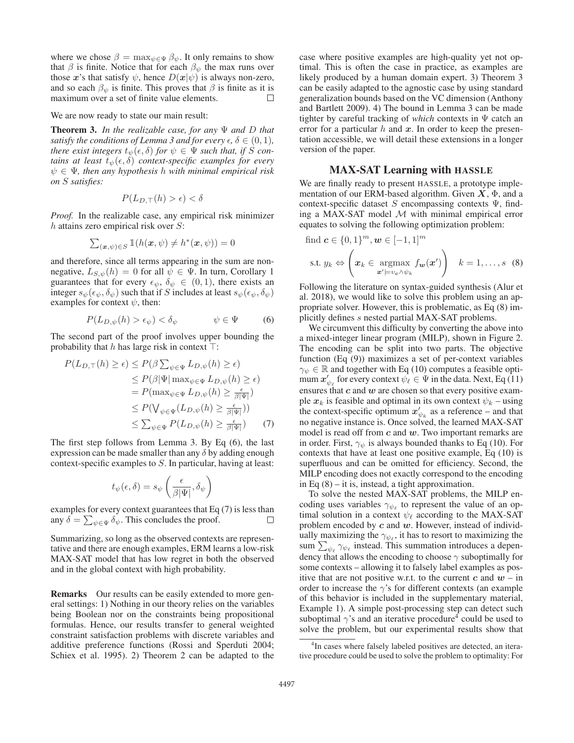where we chose  $\beta = \max_{\psi \in \Psi} \beta_{\psi}$ . It only remains to show that  $\beta$  is finite. Notice that for each  $\beta_{\psi}$  the max runs over those *x*'s that satisfy  $\psi$ , hence  $D(x|\psi)$  is always non-zero, and so each  $\beta_{\psi}$  is finite. This proves that  $\beta$  is finite as it is maximum over a set of finite value elements.  $\Box$ 

We are now ready to state our main result:

Theorem 3. *In the realizable case, for any* Ψ *and* D *that satisfy the conditions of Lemma 3 and for every*  $\epsilon$ ,  $\delta \in (0,1)$ , *there exist integers*  $t_{\psi}(\epsilon, \delta)$  *for*  $\psi \in \Psi$  *such that, if* S *contains at least*  $t_{\psi}(\epsilon, \delta)$  *context-specific examples for every* ψ ∈ Ψ*, then any hypothesis* h *with minimal empirical risk on* S *satisfies:*

$$
P(L_{D,\top}(h) > \epsilon) < \delta
$$

*Proof.* In the realizable case, any empirical risk minimizer  $h$  attains zero empirical risk over  $S$ :

$$
\sum_{(\boldsymbol{x},\psi)\in S} \mathbb{1}(h(\boldsymbol{x},\psi) \neq h^*(\boldsymbol{x},\psi)) = 0
$$

and therefore, since all terms appearing in the sum are nonnegative,  $L_{S,\psi}(h)=0$  for all  $\psi \in \Psi$ . In turn, Corollary 1 guarantees that for every  $\epsilon_{\psi}$ ,  $\delta_{\psi} \in (0,1)$ , there exists an integer  $s_{\psi}(\epsilon_{\psi}, \delta_{\psi})$  such that if S includes at least  $s_{\psi}(\epsilon_{\psi}, \delta_{\psi})$ examples for context  $\psi$ , then:

$$
P(L_{D,\psi}(h) > \epsilon_{\psi}) < \delta_{\psi} \qquad \psi \in \Psi \qquad (6)
$$

The second part of the proof involves upper bounding the probability that h has large risk in context  $\top$ :

$$
P(L_{D,\top}(h) \ge \epsilon) \le P(\beta \sum_{\psi \in \Psi} L_{D,\psi}(h) \ge \epsilon) \le P(\beta |\Psi| \max_{\psi \in \Psi} L_{D,\psi}(h) \ge \epsilon) = P(\max_{\psi \in \Psi} L_{D,\psi}(h) \ge \frac{\epsilon}{\beta |\Psi|}) \le P(\bigvee_{\psi \in \Psi} (L_{D,\psi}(h) \ge \frac{\epsilon}{\beta |\Psi|})) \le \sum_{\psi \in \Psi} P(L_{D,\psi}(h) \ge \frac{\epsilon}{\beta |\Psi|}) \tag{7}
$$

The first step follows from Lemma 3. By Eq (6), the last expression can be made smaller than any  $\delta$  by adding enough context-specific examples to S. In particular, having at least:

$$
t_{\psi}(\epsilon,\delta)=s_{\psi}\left(\frac{\epsilon}{\beta|\Psi|},\delta_{\psi}\right)
$$

examples for every context guarantees that Eq (7) is less than any  $\delta = \sum_{\psi \in \Psi} \delta_{\psi}$ . This concludes the proof.

Summarizing, so long as the observed contexts are representative and there are enough examples, ERM learns a low-risk MAX-SAT model that has low regret in both the observed and in the global context with high probability.

Remarks Our results can be easily extended to more general settings: 1) Nothing in our theory relies on the variables being Boolean nor on the constraints being propositional formulas. Hence, our results transfer to general weighted constraint satisfaction problems with discrete variables and additive preference functions (Rossi and Sperduti 2004; Schiex et al. 1995). 2) Theorem 2 can be adapted to the

case where positive examples are high-quality yet not optimal. This is often the case in practice, as examples are likely produced by a human domain expert. 3) Theorem 3 can be easily adapted to the agnostic case by using standard generalization bounds based on the VC dimension (Anthony and Bartlett 2009). 4) The bound in Lemma 3 can be made tighter by careful tracking of *which* contexts in Ψ catch an error for a particular  $h$  and  $x$ . In order to keep the presentation accessible, we will detail these extensions in a longer version of the paper.

# MAX-SAT Learning with HASSLE

We are finally ready to present HASSLE, a prototype implementation of our ERM-based algorithm. Given *X*, Φ, and a context-specific dataset S encompassing contexts  $\Psi$ , finding a MAX-SAT model  $M$  with minimal empirical error equates to solving the following optimization problem:

find 
$$
\mathbf{c} \in \{0, 1\}^m, \mathbf{w} \in [-1, 1]^m
$$
  
s.t.  $y_k \Leftrightarrow \left(\mathbf{x}_k \in \operatorname*{argmax}_{\mathbf{x}' \models v_c \land \psi_k} f_{\mathbf{w}}(\mathbf{x}')\right) \quad k = 1, ..., s$  (8)

Following the literature on syntax-guided synthesis (Alur et al. 2018), we would like to solve this problem using an appropriate solver. However, this is problematic, as Eq (8) implicitly defines s nested partial MAX-SAT problems.

We circumvent this difficulty by converting the above into a mixed-integer linear program (MILP), shown in Figure 2. The encoding can be split into two parts. The objective function (Eq (9)) maximizes a set of per-context variables  $\gamma_{\psi} \in \mathbb{R}$  and together with Eq (10) computes a feasible optimum  $x'_{\psi_\ell}$  for every context  $\bar{\psi_\ell} \in \Psi$  in the data. Next, Eq (11) ensures that *c* and *w* are chosen so that every positive example  $x_k$  is feasible and optimal in its own context  $\psi_k$  – using the context-specific optimum  $x'_{\psi_k}$  as a reference – and that no negative instance is. Once solved, the learned MAX-SAT model is read off from *c* and *w*. Two important remarks are in order. First,  $\gamma_{\psi}$  is always bounded thanks to Eq (10). For contexts that have at least one positive example, Eq (10) is superfluous and can be omitted for efficiency. Second, the MILP encoding does not exactly correspond to the encoding in Eq  $(8)$  – it is, instead, a tight approximation.

To solve the nested MAX-SAT problems, the MILP encoding uses variables  $\gamma_{\psi_{\ell}}$  to represent the value of an optimal solution in a context  $\psi_{\ell}$  according to the MAX-SAT problem encoded by *c* and *w*. However, instead of individually maximizing the  $\gamma_{\psi_{\ell}}$ , it has to resort to maximizing the sum  $\sum_{\psi_{\ell}} \gamma_{\psi_{\ell}}$  instead. This summation introduces a dependency that allows the encoding to choose  $\gamma$  suboptimally for some contexts – allowing it to falsely label examples as positive that are not positive w.r.t. to the current  $c$  and  $w$  – in order to increase the  $\gamma$ 's for different contexts (an example of this behavior is included in the supplementary material, Example 1). A simple post-processing step can detect such suboptimal  $\gamma$ 's and an iterative procedure<sup>4</sup> could be used to solve the problem, but our experimental results show that

<sup>&</sup>lt;sup>4</sup>In cases where falsely labeled positives are detected, an iterative procedure could be used to solve the problem to optimality: For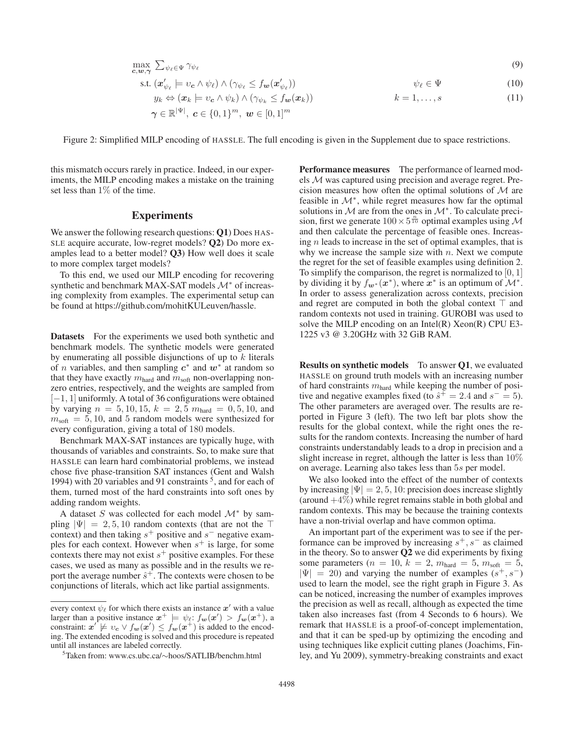$$
\max_{\mathbf{c},\mathbf{w},\boldsymbol{\gamma}} \sum_{\psi_{\ell} \in \Psi} \gamma_{\psi_{\ell}} \tag{9}
$$

$$
\text{s.t. } (\boldsymbol{x}'_{\psi_{\ell}} \models v_{\boldsymbol{c}} \land \psi_{\ell}) \land (\gamma_{\psi_{\ell}} \le f_{\boldsymbol{w}}(\boldsymbol{x}'_{\psi_{\ell}})) \qquad \psi_{\ell} \in \Psi \qquad (10)
$$

$$
y_k \Leftrightarrow (\boldsymbol{x}_k \models v_{\boldsymbol{c}} \land \psi_k) \land (\gamma_{\psi_k} \le f_{\boldsymbol{w}}(\boldsymbol{x}_k)) \qquad k = 1, ..., s \qquad (11)
$$

$$
\boldsymbol{\gamma}\in\mathbb{R}^{|\Psi|},\ \boldsymbol{c}\in\{0,1\}^{m},\ \boldsymbol{w}\in[0,1]^{m}
$$

Figure 2: Simplified MILP encoding of HASSLE. The full encoding is given in the Supplement due to space restrictions.

this mismatch occurs rarely in practice. Indeed, in our experiments, the MILP encoding makes a mistake on the training set less than 1% of the time.

## **Experiments**

We answer the following research questions: Q1) Does HAS-SLE acquire accurate, low-regret models? Q2) Do more examples lead to a better model? Q3) How well does it scale to more complex target models?

To this end, we used our MILP encoding for recovering synthetic and benchmark MAX-SAT models  $\mathcal{M}^*$  of increasing complexity from examples. The experimental setup can be found at https://github.com/mohitKULeuven/hassle.

Datasets For the experiments we used both synthetic and benchmark models. The synthetic models were generated by enumerating all possible disjunctions of up to  $k$  literals of n variables, and then sampling *c*<sup>∗</sup> and *w*<sup>∗</sup> at random so that they have exactly  $m_{\text{hard}}$  and  $m_{\text{soft}}$  non-overlapping nonzero entries, respectively, and the weights are sampled from  $[-1, 1]$  uniformly. A total of 36 configurations were obtained by varying  $n = 5, 10, 15, k = 2, 5$   $m<sub>hard</sub> = 0, 5, 10,$  and  $m_{\text{soft}} = 5, 10, \text{ and } 5 \text{ random models were synthesized for }$ every configuration, giving a total of 180 models.

Benchmark MAX-SAT instances are typically huge, with thousands of variables and constraints. So, to make sure that HASSLE can learn hard combinatorial problems, we instead chose five phase-transition SAT instances (Gent and Walsh 1994) with 20 variables and 91 constraints  $5$ , and for each of them, turned most of the hard constraints into soft ones by adding random weights.

A dataset S was collected for each model  $\mathcal{M}^*$  by sampling  $|\Psi| = 2, 5, 10$  random contexts (that are not the  $\top$ context) and then taking  $s^+$  positive and  $s^-$  negative examples for each context. However when  $s^+$  is large, for some contexts there may not exist  $s^+$  positive examples. For these cases, we used as many as possible and in the results we report the average number  $\hat{s}^+$ . The contexts were chosen to be conjunctions of literals, which act like partial assignments.

**Performance measures** The performance of learned models M was captured using precision and average regret. Precision measures how often the optimal solutions of  $M$  are feasible in  $\mathcal{M}^*$ , while regret measures how far the optimal solutions in  $M$  are from the ones in  $\mathcal{M}^*$ . To calculate precision, first we generate  $100 \times 5^{\frac{n}{10}}$  optimal examples using M and then calculate the percentage of feasible ones. Increasing  $n$  leads to increase in the set of optimal examples, that is why we increase the sample size with  $n$ . Next we compute the regret for the set of feasible examples using definition 2. To simplify the comparison, the regret is normalized to  $[0, 1]$ by dividing it by  $f_{w^*}(x^*)$ , where  $x^*$  is an optimum of  $\mathcal{M}^*$ . In order to assess generalization across contexts, precision and regret are computed in both the global context  $\top$  and random contexts not used in training. GUROBI was used to solve the MILP encoding on an Intel $(R)$  Xeon $(R)$  CPU E3-1225 v3 @ 3.20GHz with 32 GiB RAM.

Results on synthetic models To answer Q1, we evaluated HASSLE on ground truth models with an increasing number of hard constraints  $m_{\text{hard}}$  while keeping the number of positive and negative examples fixed (to  $\hat{s}^+ = 2.4$  and  $s^- = 5$ ). The other parameters are averaged over. The results are reported in Figure 3 (left). The two left bar plots show the results for the global context, while the right ones the results for the random contexts. Increasing the number of hard constraints understandably leads to a drop in precision and a slight increase in regret, although the latter is less than 10% on average. Learning also takes less than 5s per model.

We also looked into the effect of the number of contexts by increasing  $|\Psi| = 2, 5, 10$ : precision does increase slightly (around  $+4\%$ ) while regret remains stable in both global and random contexts. This may be because the training contexts have a non-trivial overlap and have common optima.

An important part of the experiment was to see if the performance can be improved by increasing  $s^+, s^-$  as claimed in the theory. So to answer  $Q2$  we did experiments by fixing some parameters ( $n = 10$ ,  $k = 2$ ,  $m<sub>hard</sub> = 5$ ,  $m<sub>soft</sub> = 5$ ,  $|\Psi| = 20$ ) and varying the number of examples  $(s^+, s^-)$ used to learn the model, see the right graph in Figure 3. As can be noticed, increasing the number of examples improves the precision as well as recall, although as expected the time taken also increases fast (from 4 Seconds to 6 hours). We remark that HASSLE is a proof-of-concept implementation, and that it can be sped-up by optimizing the encoding and using techniques like explicit cutting planes (Joachims, Finley, and Yu 2009), symmetry-breaking constraints and exact

every context  $\psi_{\ell}$  for which there exists an instance  $x'$  with a value larger than a positive instance  $x^+ \models \psi_{\ell}: f_w(x') > f_w(x^+)$ , a constraint:  $x' \not\models v_c \lor f_w(x') \leq f_w(x^+)$  is added to the encoding. The extended encoding is solved and this procedure is repeated until all instances are labeled correctly.

<sup>5</sup> Taken from: www.cs.ubc.ca/∼hoos/SATLIB/benchm.html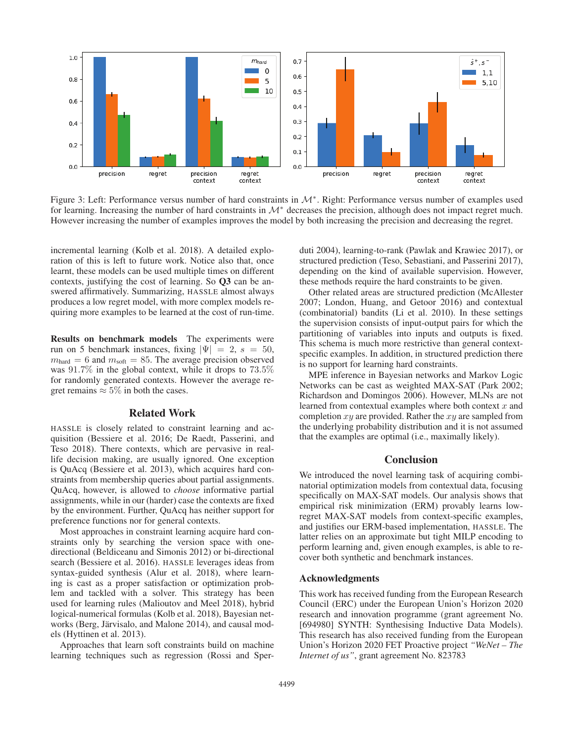

Figure 3: Left: Performance versus number of hard constraints in M∗. Right: Performance versus number of examples used for learning. Increasing the number of hard constraints in  $\mathcal{M}^*$  decreases the precision, although does not impact regret much. However increasing the number of examples improves the model by both increasing the precision and decreasing the regret.

incremental learning (Kolb et al. 2018). A detailed exploration of this is left to future work. Notice also that, once learnt, these models can be used multiple times on different contexts, justifying the cost of learning. So Q3 can be answered affirmatively. Summarizing, HASSLE almost always produces a low regret model, with more complex models requiring more examples to be learned at the cost of run-time.

Results on benchmark models The experiments were run on 5 benchmark instances, fixing  $|\Psi| = 2$ ,  $s = 50$ ,  $m_{\text{hard}} = 6$  and  $m_{\text{soft}} = 85$ . The average precision observed was 91.7% in the global context, while it drops to 73.5% for randomly generated contexts. However the average regret remains  $\approx 5\%$  in both the cases.

# Related Work

HASSLE is closely related to constraint learning and acquisition (Bessiere et al. 2016; De Raedt, Passerini, and Teso 2018). There contexts, which are pervasive in reallife decision making, are usually ignored. One exception is QuAcq (Bessiere et al. 2013), which acquires hard constraints from membership queries about partial assignments. QuAcq, however, is allowed to *choose* informative partial assignments, while in our (harder) case the contexts are fixed by the environment. Further, QuAcq has neither support for preference functions nor for general contexts.

Most approaches in constraint learning acquire hard constraints only by searching the version space with onedirectional (Beldiceanu and Simonis 2012) or bi-directional search (Bessiere et al. 2016). HASSLE leverages ideas from syntax-guided synthesis (Alur et al. 2018), where learning is cast as a proper satisfaction or optimization problem and tackled with a solver. This strategy has been used for learning rules (Malioutov and Meel 2018), hybrid logical-numerical formulas (Kolb et al. 2018), Bayesian networks (Berg, Järvisalo, and Malone 2014), and causal models (Hyttinen et al. 2013).

Approaches that learn soft constraints build on machine learning techniques such as regression (Rossi and Sperduti 2004), learning-to-rank (Pawlak and Krawiec 2017), or structured prediction (Teso, Sebastiani, and Passerini 2017), depending on the kind of available supervision. However, these methods require the hard constraints to be given.

Other related areas are structured prediction (McAllester 2007; London, Huang, and Getoor 2016) and contextual (combinatorial) bandits (Li et al. 2010). In these settings the supervision consists of input-output pairs for which the partitioning of variables into inputs and outputs is fixed. This schema is much more restrictive than general contextspecific examples. In addition, in structured prediction there is no support for learning hard constraints.

MPE inference in Bayesian networks and Markov Logic Networks can be cast as weighted MAX-SAT (Park 2002; Richardson and Domingos 2006). However, MLNs are not learned from contextual examples where both context  $x$  and completion  $xy$  are provided. Rather the  $xy$  are sampled from the underlying probability distribution and it is not assumed that the examples are optimal (i.e., maximally likely).

### **Conclusion**

We introduced the novel learning task of acquiring combinatorial optimization models from contextual data, focusing specifically on MAX-SAT models. Our analysis shows that empirical risk minimization (ERM) provably learns lowregret MAX-SAT models from context-specific examples, and justifies our ERM-based implementation, HASSLE. The latter relies on an approximate but tight MILP encoding to perform learning and, given enough examples, is able to recover both synthetic and benchmark instances.

#### Acknowledgments

This work has received funding from the European Research Council (ERC) under the European Union's Horizon 2020 research and innovation programme (grant agreement No. [694980] SYNTH: Synthesising Inductive Data Models). This research has also received funding from the European Union's Horizon 2020 FET Proactive project *"WeNet – The Internet of us"*, grant agreement No. 823783